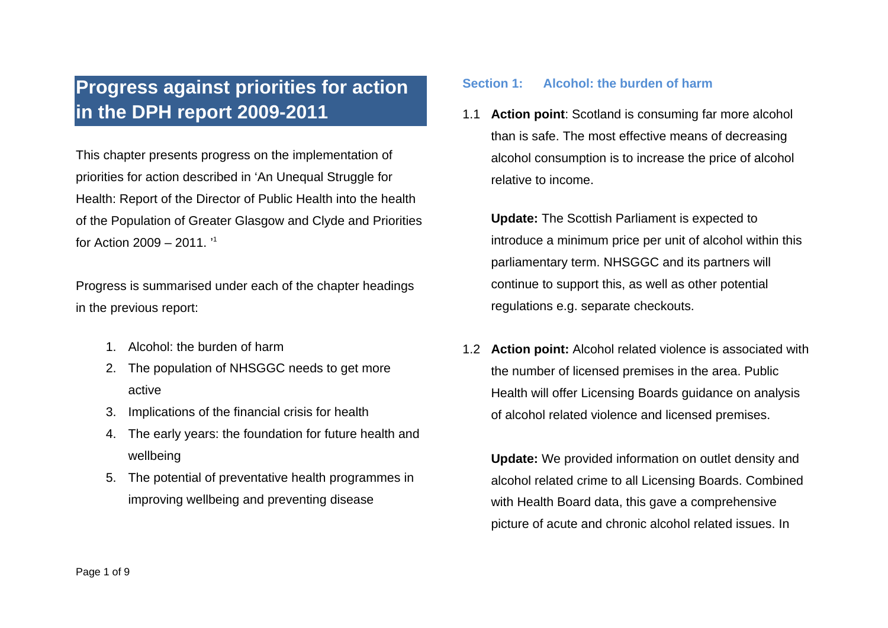# **Progress against priorities for action in the DPH report 2009-2011**

This chapter presents progress on the implementation of priorities for action described in 'An Unequal Struggle for Health: Report of the Director of Public Health into the health of the Population of Greater Glasgow and Clyde and Priorities for Action  $2009 - 2011$ .

Progress is summarised under each of the chapter headings in the previous report:

- 1. Alcohol: the burden of harm
- 2. The population of NHSGGC needs to get more active
- 3. Implications of the financial crisis for health
- 4. The early years: the foundation for future health and wellbeing
- 5. The potential of preventative health programmes in improving wellbeing and preventing disease

## **Section 1: Alcohol: the burden of harm**

1.1 **Action point**: Scotland is consuming far more alcohol than is safe. The most effective means of decreasing alcohol consumption is to increase the price of alcohol relative to income.

 **Update:** The Scottish Parliament is expected to introduce a minimum price per unit of alcohol within this parliamentary term. NHSGGC and its partners will continue to support this, as well as other potential regulations e.g. separate checkouts.

1.2 **Action point:** Alcohol related violence is associated with the number of licensed premises in the area. Public Health will offer Licensing Boards guidance on analysis of alcohol related violence and licensed premises.

 **Update:** We provided information on outlet density and alcohol related crime to all Licensing Boards. Combined with Health Board data, this gave a comprehensive picture of acute and chronic alcohol related issues. In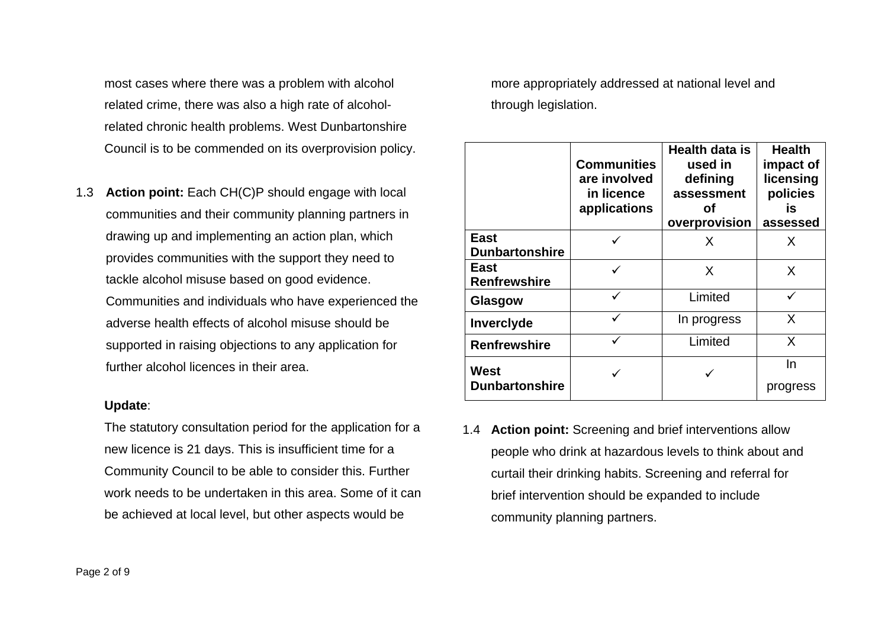most cases where there was a problem with alcohol related crime, there was also a high rate of alcoholrelated chronic health problems. West Dunbartonshire Council is to be commended on its overprovision policy.

1.3 **Action point:** Each CH(C)P should engage with local communities and their community planning partners in drawing up and implementing an action plan, which provides communities with the support they need to tackle alcohol misuse based on good evidence. Communities and individuals who have experienced the adverse health effects of alcohol misuse should be supported in raising objections to any application for further alcohol licences in their area.

#### **Update**:

The statutory consultation period for the application for a new licence is 21 days. This is insufficient time for a Community Council to be able to consider this. Further work needs to be undertaken in this area. Some of it can be achieved at local level, but other aspects would be

more appropriately addressed at national level and through legislation.

|                                      | <b>Communities</b><br>are involved<br>in licence<br>applications | Health data is<br>used in<br>defining<br>assessment<br>Οf<br>overprovision | <b>Health</b><br>impact of<br>licensing<br>policies<br>İS<br>assessed |
|--------------------------------------|------------------------------------------------------------------|----------------------------------------------------------------------------|-----------------------------------------------------------------------|
| <b>East</b><br><b>Dunbartonshire</b> |                                                                  | X                                                                          | X                                                                     |
| East<br><b>Renfrewshire</b>          |                                                                  | X                                                                          | X                                                                     |
| Glasgow                              |                                                                  | Limited                                                                    |                                                                       |
| Inverclyde                           |                                                                  | In progress                                                                | X                                                                     |
| <b>Renfrewshire</b>                  |                                                                  | Limited                                                                    | X                                                                     |
| West<br><b>Dunbartonshire</b>        |                                                                  |                                                                            | In<br>progress                                                        |

1.4 **Action point:** Screening and brief interventions allow people who drink at hazardous levels to think about and curtail their drinking habits. Screening and referral for brief intervention should be expanded to include community planning partners.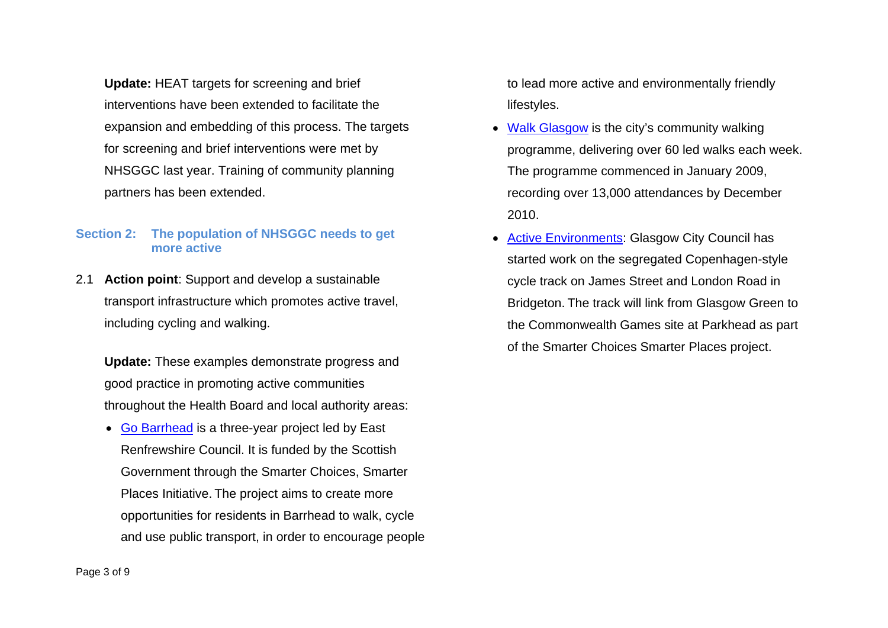**Update:** HEAT targets for screening and brief interventions have been extended to facilitate the expansion and embedding of this process. The targets for screening and brief interventions were met by NHSGGC last year. Training of community planning partners has been extended.

## **Section 2: The population of NHSGGC needs to get more active**

2.1 **Action point**: Support and develop a sustainable transport infrastructure which promotes active travel, including cycling and walking.

 **Update:** These examples demonstrate progress and good practice in promoting active communities throughout the Health Board and local authority areas:

• [Go Barrhead](http://www.gobarrhead.co.uk/) is a three-year project led by East Renfrewshire Council. It is funded by the Scottish Government through the Smarter Choices, Smarter Places Initiative. The project aims to create more opportunities for residents in Barrhead to walk, cycle and use public transport, in order to encourage people to lead more active and environmentally friendly lifestyles.

- [Walk Glasgow](http://www.glasgow.gov.uk/en/Residents/Parks_Outdoors/Activities/Walking/healthwalks.htm) is the city's community walking programme, delivering over 60 led walks each week. The programme commenced in January 2009, recording over 13,000 attendances by December 2010.
- • [Active Environments](http://www.scotland.gov.uk/Publications/2010/12/14125403/5): Glasgow City Council has started work on the segregated Copenhagen-style cycle track on James Street and London Road in Bridgeton. The track will link from Glasgow Green to the Commonwealth Games site at Parkhead as part of the [Smarter Choices Smarter Places](http://www.glasgow.gov.uk/en/Residents/GettingAround/SmarterChoices/) project.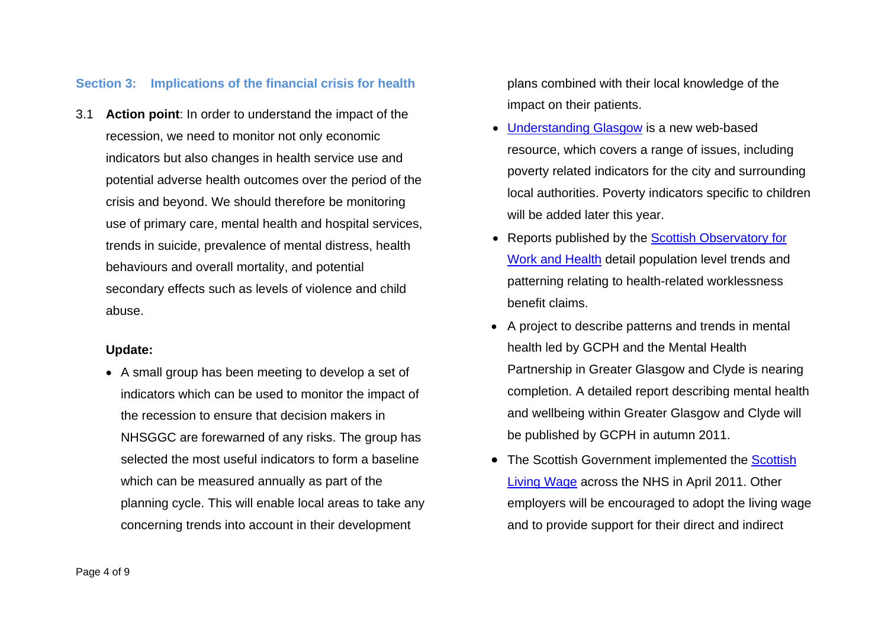### **Section 3: Implications of the financial crisis for health**

3.1 **Action point**: In order to understand the impact of the recession, we need to monitor not only economic indicators but also changes in health service use and potential adverse health outcomes over the period of the crisis and beyond. We should therefore be monitoring use of primary care, mental health and hospital services, trends in suicide, prevalence of mental distress, health behaviours and overall mortality, and potential secondary effects such as levels of violence and child abuse.

#### **Update:**

• A small group has been meeting to develop a set of indicators which can be used to monitor the impact of the recession to ensure that decision makers in NHSGGC are forewarned of any risks. The group has selected the most useful indicators to form a baseline which can be measured annually as part of the planning cycle. This will enable local areas to take any concerning trends into account in their development

plans combined with their local knowledge of the impact on their patients.

- • [Understanding Glasgow](http://www.understandingglasgow.com/) is a new web-based resource, which covers a range of issues, including poverty related indicators for the city and surrounding local authorities. Poverty indicators specific to children will be added later this year.
- Reports published by the Scottish Observatory for [Work and Health](http://www.gla.ac.uk/departments/hwlgroup/scottishobservatoryforworkhealth/) detail population level trends and patterning relating to health-related worklessness benefit claims.
- A project to describe patterns and trends in mental health led by GCPH and the Mental Health Partnership in Greater Glasgow and Clyde is nearing completion. A detailed report describing mental health and wellbeing within Greater Glasgow and Clyde will be published by GCPH in autumn 2011.
- $\bullet$ The [Scottish](http://www.sehd.scot.nhs.uk/pcs/PCS2011(AFC)04.pdf) Government implemented the Scottish [Living Wage](http://www.sehd.scot.nhs.uk/pcs/PCS2011(AFC)04.pdf) across the NHS in April 2011. Other employers will be encouraged to adopt the living wage and to provide support for their direct and indirect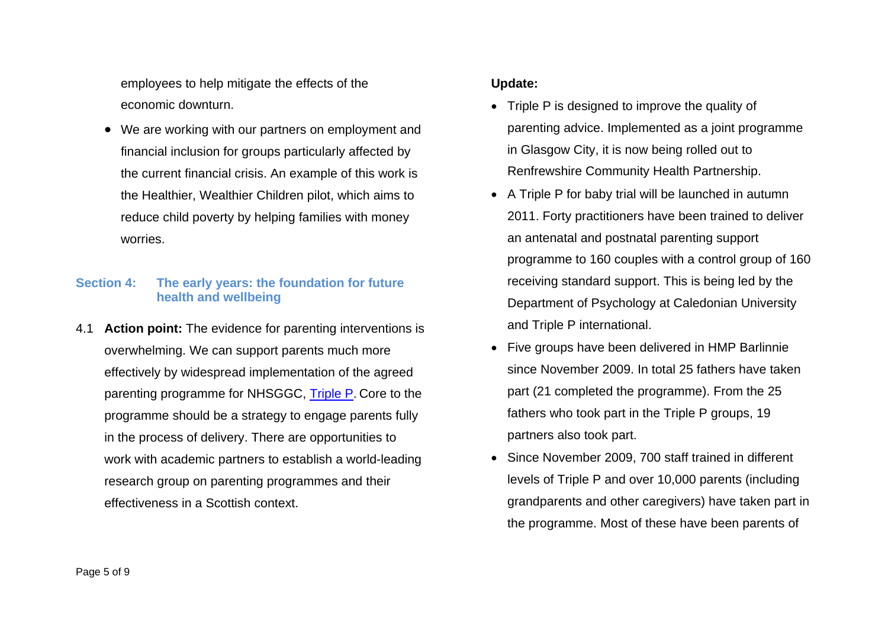employees to help mitigate the effects of the economic downturn.

• We are working with our partners on employment and financial inclusion for groups particularly affected by the current financial crisis. An example of this work is the Healthier, Wealthier Children pilot, which aims to reduce child poverty by helping families with money worries.

## **Section 4: The early years: the foundation for future health and wellbeing**

4.1 **Action point:** The evidence for parenting interventions is overwhelming. We can support parents much more effectively by widespread implementation of the agreed parenting programme for NHSGGC, [Triple P](http://glasgow.triplep-staypositive.net/). Core to the programme should be a strategy to engage parents fully in the process of delivery. There are opportunities to work with academic partners to establish a world-leading research group on parenting programmes and their effectiveness in a Scottish context.

## **Update:**

- Triple P is designed to improve the quality of parenting advice. Implemented as a joint programme in Glasgow City, it is now being rolled out to Renfrewshire Community Health Partnership.
- A Triple P for baby trial will be launched in autumn 2011. Forty practitioners have been trained to deliver an antenatal and postnatal parenting support programme to 160 couples with a control group of 160 receiving standard support. This is being led by the Department of Psychology at Caledonian University and Triple P international.
- Five groups have been delivered in HMP Barlinnie since November 2009. In total 25 fathers have taken part (21 completed the programme). From the 25 fathers who took part in the Triple P groups, 19 partners also took part.
- Since November 2009, 700 staff trained in different levels of Triple P and over 10,000 parents (including grandparents and other caregivers) have taken part in the programme. Most of these have been parents of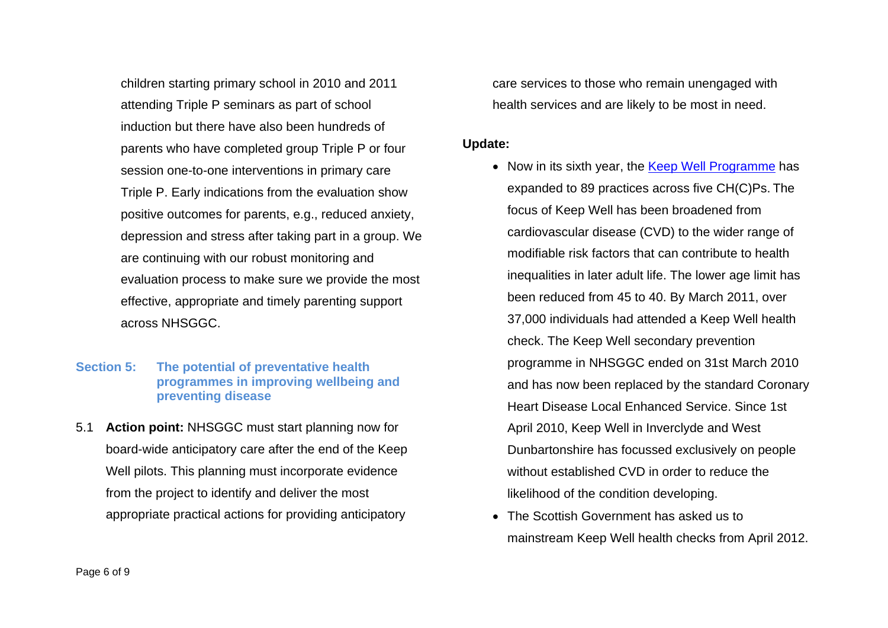children starting primary school in 2010 and 2011 attending Triple P seminars as part of school induction but there have also been hundreds of parents who have completed group Triple P or four session one-to-one interventions in primary care Triple P. Early indications from the evaluation show positive outcomes for parents, e.g., reduced anxiety, depression and stress after taking part in a group. We are continuing with our robust monitoring and evaluation process to make sure we provide the most effective, appropriate and timely parenting support across NHSGGC.

## **Section 5: The potential of preventative health programmes in improving wellbeing and preventing disease**

5.1 **Action point:** NHSGGC must start planning now for board-wide anticipatory care after the end of the Keep Well pilots. This planning must incorporate evidence from the project to identify and deliver the most appropriate practical actions for providing anticipatory

care services to those who remain unengaged with health services and are likely to be most in need.

#### **Update:**

- Now in its sixth year, the [Keep Well Programme](http://www.nhsggc.org.uk/content/default.asp?page=home_keepwell) has expanded to 89 practices across five CH(C)Ps. The focus of Keep Well has been broadened from cardiovascular disease (CVD) to the wider range of modifiable risk factors that can contribute to health inequalities in later adult life. The lower age limit has been reduced from 45 to 40. By March 2011, over 37,000 individuals had attended a Keep Well health check. The Keep Well secondary prevention programme in NHSGGC ended on 31st March 2010 and has now been replaced by the standard Coronary Heart Disease Local Enhanced Service. Since 1st April 2010, Keep Well in Inverclyde and West Dunbartonshire has focussed exclusively on people without established CVD in order to reduce the likelihood of the condition developing.
- The Scottish Government has asked us to mainstream Keep Well health checks from April 2012.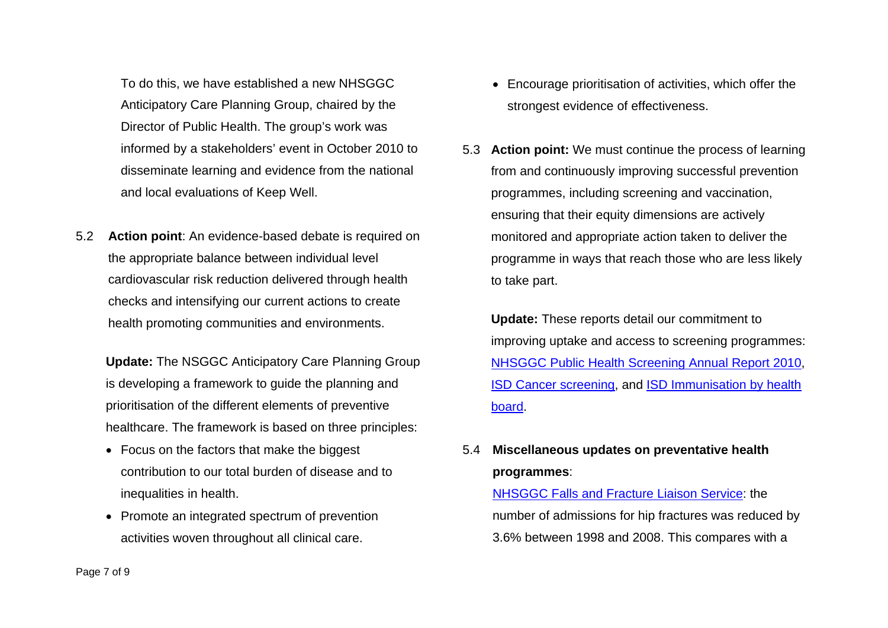To do this, we have established a new NHSGGC Anticipatory Care Planning Group, chaired by the Director of Public Health. The group's work was informed by a stakeholders' event in October 2010 to disseminate learning and evidence from the national and local evaluations of Keep Well.

5.2 **Action point**: An evidence-based debate is required on the appropriate balance between individual level cardiovascular risk reduction delivered through health checks and intensifying our current actions to create health promoting communities and environments.

 **Update:** The NSGGC Anticipatory Care Planning Group is developing a framework to guide the planning and prioritisation of the different elements of preventive healthcare. The framework is based on three principles:

- Focus on the factors that make the biggest contribution to our total burden of disease and to inequalities in health.
- Promote an integrated spectrum of prevention activities woven throughout all clinical care.
- Encourage prioritisation of activities, which offer the strongest evidence of effectiveness.
- 5.3 **Action point:** We must continue the process of learning from and continuously improving successful prevention programmes, including screening and vaccination, ensuring that their equity dimensions are actively monitored and appropriate action taken to deliver the programme in ways that reach those who are less likely to take part.

 **Update:** These reports detail our commitment to improving uptake and access to screening programmes: [NHSGGC Public Health Screening Annual Report 2010](http://library.nhsggc.org.uk/mediaAssets/Public%20Health%20Screening/PHSU%20Annual%20report%202009-2010%20final.pdf), [ISD Cancer screening](http://www.isdscotland.org/Health-Topics/Cancer/), and [ISD Immunisation by health](http://www.isdscotlandarchive.scot.nhs.uk/isd/3396.html)  [board](http://www.isdscotlandarchive.scot.nhs.uk/isd/3396.html).

## 5.4 **Miscellaneous updates on preventative health programmes**:

[NHSGGC Falls and Fracture Liaison Service](http://www.nhsggc.org.uk/content/default.asp?page=s1362_3): the number of admissions for hip fractures was reduced by 3.6% between 1998 and 2008. This compares with a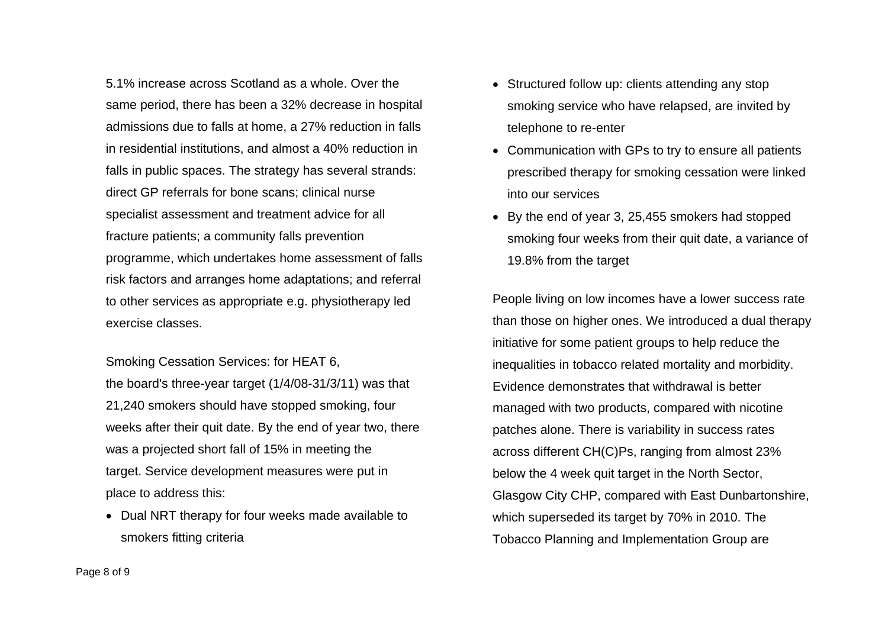5.1% increase across Scotland as a whole. Over the same period, there has been a 32% decrease in hospital admissions due to falls at home, a 27% reduction in falls in residential institutions, and almost a 40% reduction in falls in public spaces. The strategy has several strands: direct GP referrals for bone scans; clinical nurse specialist assessment and treatment advice for all fracture patients; a community falls prevention programme, which undertakes home assessment of falls risk factors and arranges home adaptations; and referral to other services as appropriate e.g. physiotherapy led exercise classes.

Smoking Cessation Services: for HEAT 6, the board's three-year target (1/4/08-31/3/11) was that 21,240 smokers should have stopped smoking, four weeks after their quit date. By the end of year two, there was a projected short fall of 15% in meeting the target. Service development measures were put in place to address this:

• Dual NRT therapy for four weeks made available to smokers fitting criteria

- Structured follow up: clients attending any stop smoking service who have relapsed, are invited by telephone to re-enter
- Communication with GPs to try to ensure all patients prescribed therapy for smoking cessation were linked into our services
- By the end of year 3, 25,455 smokers had stopped smoking four weeks from their quit date, a variance of 19.8% from the target

People living on low incomes have a lower success rate than those on higher ones. We introduced a dual therapy initiative for some patient groups to help reduce the inequalities in tobacco related mortality and morbidity. Evidence demonstrates that withdrawal is better managed with two products, compared with nicotine patches alone. There is variability in success rates across different CH(C)Ps, ranging from almost 23% below the 4 week quit target in the North Sector, Glasgow City CHP, compared with East Dunbartonshire, which superseded its target by 70% in 2010. The Tobacco Planning and Implementation Group are